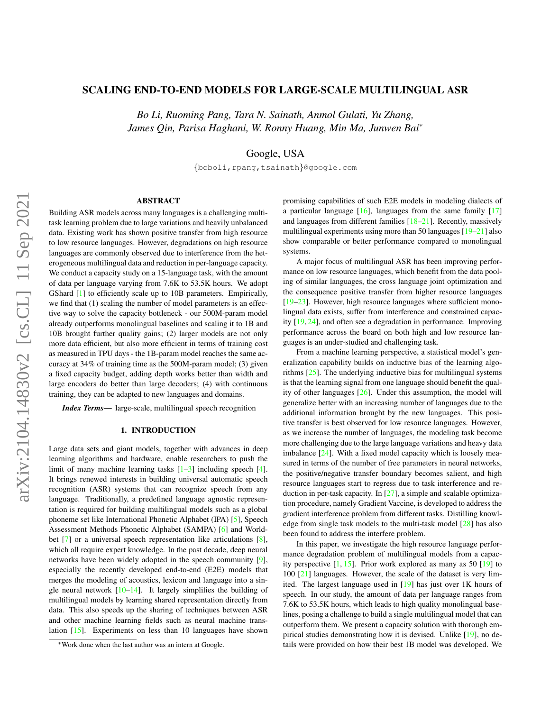# SCALING END-TO-END MODELS FOR LARGE-SCALE MULTILINGUAL ASR

*Bo Li, Ruoming Pang, Tara N. Sainath, Anmol Gulati, Yu Zhang, James Qin, Parisa Haghani, W. Ronny Huang, Min Ma, Junwen Bai*<sup>∗</sup>

Google, USA

{boboli,rpang,tsainath}@google.com

### ABSTRACT

Building ASR models across many languages is a challenging multitask learning problem due to large variations and heavily unbalanced data. Existing work has shown positive transfer from high resource to low resource languages. However, degradations on high resource languages are commonly observed due to interference from the heterogeneous multilingual data and reduction in per-language capacity. We conduct a capacity study on a 15-language task, with the amount of data per language varying from 7.6K to 53.5K hours. We adopt GShard [\[1\]](#page-6-0) to efficiently scale up to 10B parameters. Empirically, we find that (1) scaling the number of model parameters is an effective way to solve the capacity bottleneck - our 500M-param model already outperforms monolingual baselines and scaling it to 1B and 10B brought further quality gains; (2) larger models are not only more data efficient, but also more efficient in terms of training cost as measured in TPU days - the 1B-param model reaches the same accuracy at 34% of training time as the 500M-param model; (3) given a fixed capacity budget, adding depth works better than width and large encoders do better than large decoders; (4) with continuous training, they can be adapted to new languages and domains.

*Index Terms*— large-scale, multilingual speech recognition

### 1. INTRODUCTION

Large data sets and giant models, together with advances in deep learning algorithms and hardware, enable researchers to push the limit of many machine learning tasks  $[1-3]$  $[1-3]$  including speech  $[4]$ . It brings renewed interests in building universal automatic speech recognition (ASR) systems that can recognize speech from any language. Traditionally, a predefined language agnostic representation is required for building multilingual models such as a global phoneme set like International Phonetic Alphabet (IPA) [\[5\]](#page-6-3), Speech Assessment Methods Phonetic Alphabet (SAMPA) [\[6\]](#page-6-4) and World-bet [\[7\]](#page-6-5) or a universal speech representation like articulations [\[8\]](#page-6-6), which all require expert knowledge. In the past decade, deep neural networks have been widely adopted in the speech community [\[9\]](#page-6-7), especially the recently developed end-to-end (E2E) models that merges the modeling of acoustics, lexicon and language into a single neural network  $[10-14]$  $[10-14]$ . It largely simplifies the building of multilingual models by learning shared representation directly from data. This also speeds up the sharing of techniques between ASR and other machine learning fields such as neural machine translation [\[15\]](#page-6-10). Experiments on less than 10 languages have shown

promising capabilities of such E2E models in modeling dialects of a particular language  $[16]$ , languages from the same family  $[17]$ and languages from different families [\[18–](#page-6-13)[21\]](#page-6-14). Recently, massively multilingual experiments using more than 50 languages [\[19–](#page-6-15)[21\]](#page-6-14) also show comparable or better performance compared to monolingual systems.

A major focus of multilingual ASR has been improving performance on low resource languages, which benefit from the data pooling of similar languages, the cross language joint optimization and the consequence positive transfer from higher resource languages [\[19–](#page-6-15)[23\]](#page-6-16). However, high resource languages where sufficient monolingual data exists, suffer from interference and constrained capacity [\[19,](#page-6-15) [24\]](#page-6-17), and often see a degradation in performance. Improving performance across the board on both high and low resource languages is an under-studied and challenging task.

From a machine learning perspective, a statistical model's generalization capability builds on inductive bias of the learning algorithms [\[25\]](#page-6-18). The underlying inductive bias for multilingual systems is that the learning signal from one language should benefit the quality of other languages [\[26\]](#page-6-19). Under this assumption, the model will generalize better with an increasing number of languages due to the additional information brought by the new languages. This positive transfer is best observed for low resource languages. However, as we increase the number of languages, the modeling task become more challenging due to the large language variations and heavy data imbalance [\[24\]](#page-6-17). With a fixed model capacity which is loosely measured in terms of the number of free parameters in neural networks, the positive/negative transfer boundary becomes salient, and high resource languages start to regress due to task interference and reduction in per-task capacity. In [\[27\]](#page-6-20), a simple and scalable optimization procedure, namely Gradient Vaccine, is developed to address the gradient interference problem from different tasks. Distilling knowledge from single task models to the multi-task model [\[28\]](#page-7-0) has also been found to address the interfere problem.

In this paper, we investigate the high resource language performance degradation problem of multilingual models from a capacity perspective  $[1, 15]$  $[1, 15]$  $[1, 15]$ . Prior work explored as many as 50  $[19]$  to 100 [\[21\]](#page-6-14) languages. However, the scale of the dataset is very limited. The largest language used in [\[19\]](#page-6-15) has just over 1K hours of speech. In our study, the amount of data per language ranges from 7.6K to 53.5K hours, which leads to high quality monolingual baselines, posing a challenge to build a single multilingual model that can outperform them. We present a capacity solution with thorough empirical studies demonstrating how it is devised. Unlike [\[19\]](#page-6-15), no details were provided on how their best 1B model was developed. We

<sup>∗</sup>Work done when the last author was an intern at Google.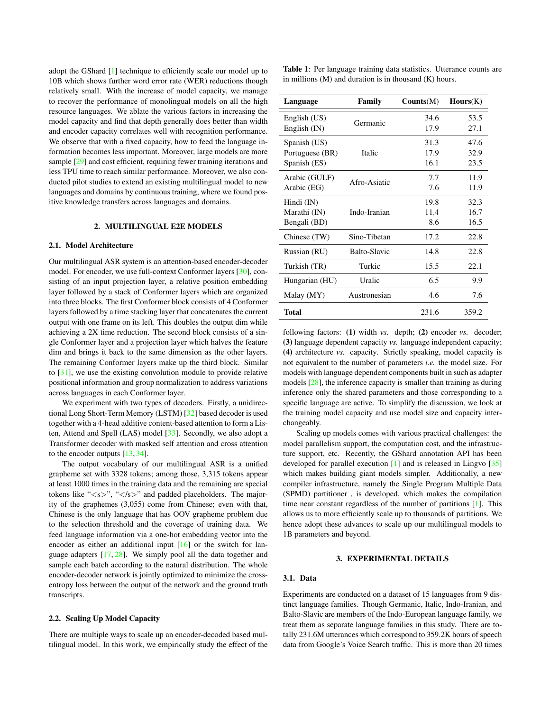adopt the GShard [\[1\]](#page-6-0) technique to efficiently scale our model up to 10B which shows further word error rate (WER) reductions though relatively small. With the increase of model capacity, we manage to recover the performance of monolingual models on all the high resource languages. We ablate the various factors in increasing the model capacity and find that depth generally does better than width and encoder capacity correlates well with recognition performance. We observe that with a fixed capacity, how to feed the language information becomes less important. Moreover, large models are more sample [\[29\]](#page-7-1) and cost efficient, requiring fewer training iterations and less TPU time to reach similar performance. Moreover, we also conducted pilot studies to extend an existing multilingual model to new languages and domains by continuous training, where we found positive knowledge transfers across languages and domains.

# 2. MULTILINGUAL E2E MODELS

#### <span id="page-1-1"></span>2.1. Model Architecture

Our multilingual ASR system is an attention-based encoder-decoder model. For encoder, we use full-context Conformer layers [\[30\]](#page-7-2), consisting of an input projection layer, a relative position embedding layer followed by a stack of Conformer layers which are organized into three blocks. The first Conformer block consists of 4 Conformer layers followed by a time stacking layer that concatenates the current output with one frame on its left. This doubles the output dim while achieving a 2X time reduction. The second block consists of a single Conformer layer and a projection layer which halves the feature dim and brings it back to the same dimension as the other layers. The remaining Conformer layers make up the third block. Similar to [\[31\]](#page-7-3), we use the existing convolution module to provide relative positional information and group normalization to address variations across languages in each Conformer layer.

We experiment with two types of decoders. Firstly, a unidirectional Long Short-Term Memory (LSTM) [\[32\]](#page-7-4) based decoder is used together with a 4-head additive content-based attention to form a Listen, Attend and Spell (LAS) model [\[33\]](#page-7-5). Secondly, we also adopt a Transformer decoder with masked self attention and cross attention to the encoder outputs [\[13,](#page-6-21) [34\]](#page-7-6).

The output vocabulary of our multilingual ASR is a unified grapheme set with 3328 tokens; among those, 3,315 tokens appear at least 1000 times in the training data and the remaining are special tokens like " $\langle s \rangle$ ", " $\langle s \rangle$ " and padded placeholders. The majority of the graphemes (3,055) come from Chinese; even with that, Chinese is the only language that has OOV grapheme problem due to the selection threshold and the coverage of training data. We feed language information via a one-hot embedding vector into the encoder as either an additional input [\[16\]](#page-6-11) or the switch for language adapters [\[17,](#page-6-12) [28\]](#page-7-0). We simply pool all the data together and sample each batch according to the natural distribution. The whole encoder-decoder network is jointly optimized to minimize the crossentropy loss between the output of the network and the ground truth transcripts.

### 2.2. Scaling Up Model Capacity

There are multiple ways to scale up an encoder-decoded based multilingual model. In this work, we empirically study the effect of the <span id="page-1-0"></span>Table 1: Per language training data statistics. Utterance counts are in millions  $(M)$  and duration is in thousand  $(K)$  hours.

| Language                                        | Family       | Counts(M)            | Hours(K)             |  |
|-------------------------------------------------|--------------|----------------------|----------------------|--|
| English (US)<br>English (IN)                    | Germanic     | 34.6<br>17.9         | 53.5<br>27.1         |  |
| Spanish (US)<br>Portuguese (BR)<br>Spanish (ES) | Italic       | 31.3<br>17.9<br>16.1 | 47.6<br>32.9<br>23.5 |  |
| Arabic (GULF)<br>Arabic (EG)                    | Afro-Asiatic | 7.7<br>7.6           | 11.9<br>11.9         |  |
| Hindi (IN)<br>Marathi (IN)<br>Bengali (BD)      | Indo-Iranian | 19.8<br>11.4<br>8.6  | 32.3<br>16.7<br>16.5 |  |
| Chinese (TW)                                    | Sino-Tibetan | 17.2                 | 22.8                 |  |
| Russian (RU)                                    | Balto-Slavic | 14.8                 | 22.8                 |  |
| Turkish (TR)                                    | Turkic       | 15.5                 | 22.1                 |  |
| Hungarian (HU)                                  | Uralic       | 6.5                  | 9.9                  |  |
| Malay (MY)                                      | Austronesian | 4.6                  | 7.6                  |  |
| <b>Total</b>                                    |              | 231.6                | 359.2                |  |

following factors: (1) width *vs.* depth; (2) encoder *vs.* decoder; (3) language dependent capacity *vs.* language independent capacity; (4) architecture *vs.* capacity. Strictly speaking, model capacity is not equivalent to the number of parameters *i.e.* the model size. For models with language dependent components built in such as adapter models [\[28\]](#page-7-0), the inference capacity is smaller than training as during inference only the shared parameters and those corresponding to a specific language are active. To simplify the discussion, we look at the training model capacity and use model size and capacity interchangeably.

Scaling up models comes with various practical challenges: the model parallelism support, the computation cost, and the infrastructure support, etc. Recently, the GShard annotation API has been developed for parallel execution [\[1\]](#page-6-0) and is released in Lingvo [\[35\]](#page-7-7) which makes building giant models simpler. Additionally, a new compiler infrastructure, namely the Single Program Multiple Data (SPMD) partitioner , is developed, which makes the compilation time near constant regardless of the number of partitions [\[1\]](#page-6-0). This allows us to more efficiently scale up to thousands of partitions. We hence adopt these advances to scale up our multilingual models to 1B parameters and beyond.

#### 3. EXPERIMENTAL DETAILS

### 3.1. Data

Experiments are conducted on a dataset of 15 languages from 9 distinct language families. Though Germanic, Italic, Indo-Iranian, and Balto-Slavic are members of the Indo-European language family, we treat them as separate language families in this study. There are totally 231.6M utterances which correspond to 359.2K hours of speech data from Google's Voice Search traffic. This is more than 20 times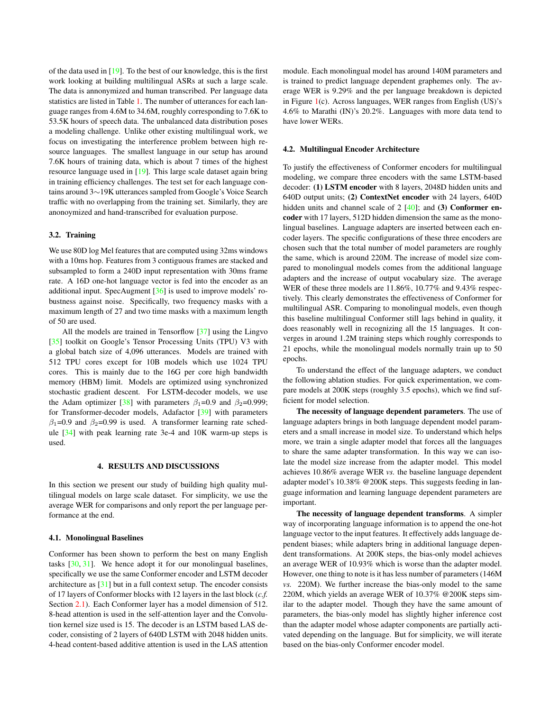of the data used in [\[19\]](#page-6-15). To the best of our knowledge, this is the first work looking at building multilingual ASRs at such a large scale. The data is annonymized and human transcribed. Per language data statistics are listed in Table [1.](#page-1-0) The number of utterances for each language ranges from 4.6M to 34.6M, roughly corresponding to 7.6K to 53.5K hours of speech data. The unbalanced data distribution poses a modeling challenge. Unlike other existing multilingual work, we focus on investigating the interference problem between high resource languages. The smallest language in our setup has around 7.6K hours of training data, which is about 7 times of the highest resource language used in [\[19\]](#page-6-15). This large scale dataset again bring in training efficiency challenges. The test set for each language contains around 3∼19K utterances sampled from Google's Voice Search traffic with no overlapping from the training set. Similarly, they are anonoymized and hand-transcribed for evaluation purpose.

### 3.2. Training

We use 80D log Mel features that are computed using 32ms windows with a 10ms hop. Features from 3 contiguous frames are stacked and subsampled to form a 240D input representation with 30ms frame rate. A 16D one-hot language vector is fed into the encoder as an additional input. SpecAugment [\[36\]](#page-7-8) is used to improve models' robustness against noise. Specifically, two frequency masks with a maximum length of 27 and two time masks with a maximum length of 50 are used.

All the models are trained in Tensorflow [\[37\]](#page-7-9) using the Lingvo [\[35\]](#page-7-7) toolkit on Google's Tensor Processing Units (TPU) V3 with a global batch size of 4,096 utterances. Models are trained with 512 TPU cores except for 10B models which use 1024 TPU cores. This is mainly due to the 16G per core high bandwidth memory (HBM) limit. Models are optimized using synchronized stochastic gradient descent. For LSTM-decoder models, we use the Adam optimizer [\[38\]](#page-7-10) with parameters  $\beta_1=0.9$  and  $\beta_2=0.999$ ; for Transformer-decoder models, Adafactor [\[39\]](#page-7-11) with parameters  $\beta_1$ =0.9 and  $\beta_2$ =0.99 is used. A transformer learning rate schedule [\[34\]](#page-7-6) with peak learning rate 3e-4 and 10K warm-up steps is used.

### 4. RESULTS AND DISCUSSIONS

In this section we present our study of building high quality multilingual models on large scale dataset. For simplicity, we use the average WER for comparisons and only report the per language performance at the end.

# 4.1. Monolingual Baselines

Conformer has been shown to perform the best on many English tasks [\[30,](#page-7-2) [31\]](#page-7-3). We hence adopt it for our monolingual baselines, specifically we use the same Conformer encoder and LSTM decoder architecture as [\[31\]](#page-7-3) but in a full context setup. The encoder consists of 17 layers of Conformer blocks with 12 layers in the last block (*c.f.* Section [2.1\)](#page-1-1). Each Conformer layer has a model dimension of 512. 8-head attention is used in the self-attention layer and the Convolution kernel size used is 15. The decoder is an LSTM based LAS decoder, consisting of 2 layers of 640D LSTM with 2048 hidden units. 4-head content-based additive attention is used in the LAS attention

module. Each monolingual model has around 140M parameters and is trained to predict language dependent graphemes only. The average WER is 9.29% and the per language breakdown is depicted in Figure [1\(](#page-3-0)c). Across languages, WER ranges from English (US)'s 4.6% to Marathi (IN)'s 20.2%. Languages with more data tend to have lower WERs.

### 4.2. Multilingual Encoder Architecture

To justify the effectiveness of Conformer encoders for multilingual modeling, we compare three encoders with the same LSTM-based decoder: (1) LSTM encoder with 8 layers, 2048D hidden units and 640D output units; (2) ContextNet encoder with 24 layers, 640D hidden units and channel scale of  $2 \; [40]$  $2 \; [40]$ ; and (3) Conformer encoder with 17 layers, 512D hidden dimension the same as the monolingual baselines. Language adapters are inserted between each encoder layers. The specific configurations of these three encoders are chosen such that the total number of model parameters are roughly the same, which is around 220M. The increase of model size compared to monolingual models comes from the additional language adapters and the increase of output vocabulary size. The average WER of these three models are 11.86%, 10.77% and 9.43% respectively. This clearly demonstrates the effectiveness of Conformer for multilingual ASR. Comparing to monolingual models, even though this baseline multilingual Conformer still lags behind in quality, it does reasonably well in recognizing all the 15 languages. It converges in around 1.2M training steps which roughly corresponds to 21 epochs, while the monolingual models normally train up to 50 epochs.

To understand the effect of the language adapters, we conduct the following ablation studies. For quick experimentation, we compare models at 200K steps (roughly 3.5 epochs), which we find sufficient for model selection.

The necessity of language dependent parameters. The use of language adapters brings in both language dependent model parameters and a small increase in model size. To understand which helps more, we train a single adapter model that forces all the languages to share the same adapter transformation. In this way we can isolate the model size increase from the adapter model. This model achieves 10.86% average WER *vs.* the baseline language dependent adapter model's 10.38% @200K steps. This suggests feeding in language information and learning language dependent parameters are important.

The necessity of language dependent transforms. A simpler way of incorporating language information is to append the one-hot language vector to the input features. It effectively adds language dependent biases; while adapters bring in additional language dependent transformations. At 200K steps, the bias-only model achieves an average WER of 10.93% which is worse than the adapter model. However, one thing to note is it has less number of parameters (146M *vs.* 220M). We further increase the bias-only model to the same 220M, which yields an average WER of 10.37% @200K steps similar to the adapter model. Though they have the same amount of parameters, the bias-only model has slightly higher inference cost than the adapter model whose adapter components are partially activated depending on the language. But for simplicity, we will iterate based on the bias-only Conformer encoder model.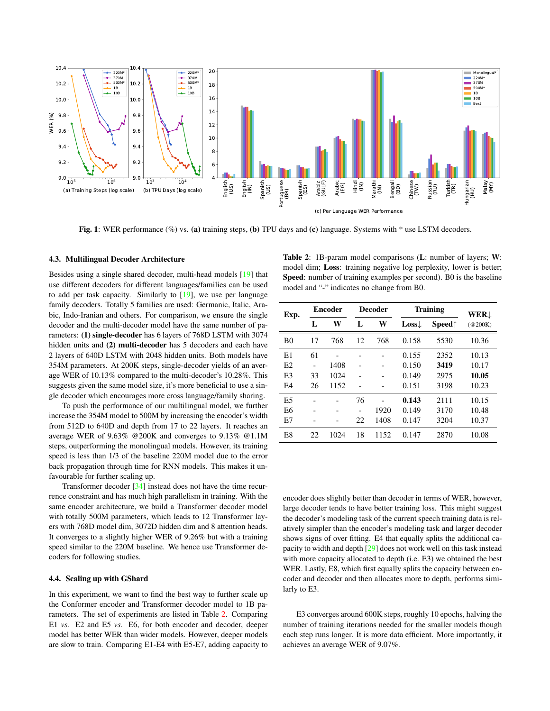<span id="page-3-0"></span>

Fig. 1: WER performance (%) vs. (a) training steps, (b) TPU days and (c) language. Systems with \* use LSTM decoders.

#### 4.3. Multilingual Decoder Architecture

Besides using a single shared decoder, multi-head models [\[19\]](#page-6-15) that use different decoders for different languages/families can be used to add per task capacity. Similarly to [\[19\]](#page-6-15), we use per language family decoders. Totally 5 families are used: Germanic, Italic, Arabic, Indo-Iranian and others. For comparison, we ensure the single decoder and the multi-decoder model have the same number of parameters: (1) single-decoder has 6 layers of 768D LSTM with 3074 hidden units and (2) multi-decoder has 5 decoders and each have 2 layers of 640D LSTM with 2048 hidden units. Both models have 354M parameters. At 200K steps, single-decoder yields of an average WER of 10.13% compared to the multi-decoder's 10.28%. This suggests given the same model size, it's more beneficial to use a single decoder which encourages more cross language/family sharing.

To push the performance of our multilingual model, we further increase the 354M model to 500M by increasing the encoder's width from 512D to 640D and depth from 17 to 22 layers. It reaches an average WER of 9.63% @200K and converges to 9.13% @1.1M steps, outperforming the monolingual models. However, its training speed is less than 1/3 of the baseline 220M model due to the error back propagation through time for RNN models. This makes it unfavourable for further scaling up.

Transformer decoder [\[34\]](#page-7-6) instead does not have the time recurrence constraint and has much high parallelism in training. With the same encoder architecture, we build a Transformer decoder model with totally 500M parameters, which leads to 12 Transformer layers with 768D model dim, 3072D hidden dim and 8 attention heads. It converges to a slightly higher WER of 9.26% but with a training speed similar to the 220M baseline. We hence use Transformer decoders for following studies.

### <span id="page-3-2"></span>4.4. Scaling up with GShard

In this experiment, we want to find the best way to further scale up the Conformer encoder and Transformer decoder model to 1B parameters. The set of experiments are listed in Table [2.](#page-3-1) Comparing E1 *vs.* E2 and E5 *vs.* E6, for both encoder and decoder, deeper model has better WER than wider models. However, deeper models are slow to train. Comparing E1-E4 with E5-E7, adding capacity to

<span id="page-3-1"></span>Table 2: 1B-param model comparisons (L: number of layers; W: model dim; Loss: training negative log perplexity, lower is better; Speed: number of training examples per second). B0 is the baseline model and "-" indicates no change from B0.

| Exp.           | <b>Encoder</b> |      | <b>Decoder</b> |      | Training         | WERt     |         |
|----------------|----------------|------|----------------|------|------------------|----------|---------|
|                | L              | W    | L              | W    | $Loss\downarrow$ | $Speed+$ | (Q200K) |
| B <sub>0</sub> | 17             | 768  | 12             | 768  | 0.158            | 5530     | 10.36   |
| E1             | 61             |      |                |      | 0.155            | 2352     | 10.13   |
| E2             |                | 1408 |                |      | 0.150            | 3419     | 10.17   |
| E <sub>3</sub> | 33             | 1024 |                |      | 0.149            | 2975     | 10.05   |
| E <sub>4</sub> | 26             | 1152 |                |      | 0.151            | 3198     | 10.23   |
| E <sub>5</sub> |                |      | 76             |      | 0.143            | 2111     | 10.15   |
| E <sub>6</sub> |                |      |                | 1920 | 0.149            | 3170     | 10.48   |
| E7             |                |      | 22             | 1408 | 0.147            | 3204     | 10.37   |
| E8             | 22             | 1024 | 18             | 1152 | 0.147            | 2870     | 10.08   |

encoder does slightly better than decoder in terms of WER, however, large decoder tends to have better training loss. This might suggest the decoder's modeling task of the current speech training data is relatively simpler than the encoder's modeling task and larger decoder shows signs of over fitting. E4 that equally splits the additional capacity to width and depth [\[29\]](#page-7-1) does not work well on this task instead with more capacity allocated to depth (i.e. E3) we obtained the best WER. Lastly, E8, which first equally splits the capacity between encoder and decoder and then allocates more to depth, performs similarly to E3.

E3 converges around 600K steps, roughly 10 epochs, halving the number of training iterations needed for the smaller models though each step runs longer. It is more data efficient. More importantly, it achieves an average WER of 9.07%.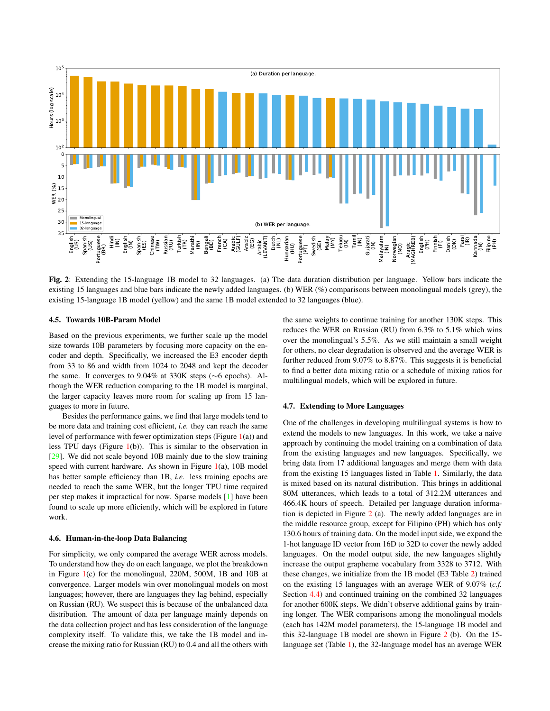<span id="page-4-0"></span>

Fig. 2: Extending the 15-language 1B model to 32 languages. (a) The data duration distribution per language. Yellow bars indicate the existing 15 languages and blue bars indicate the newly added languages. (b) WER (%) comparisons between monolingual models (grey), the existing 15-language 1B model (yellow) and the same 1B model extended to 32 languages (blue).

# 4.5. Towards 10B-Param Model

Based on the previous experiments, we further scale up the model size towards 10B parameters by focusing more capacity on the encoder and depth. Specifically, we increased the E3 encoder depth from 33 to 86 and width from 1024 to 2048 and kept the decoder the same. It converges to 9.04% at 330K steps (∼6 epochs). Although the WER reduction comparing to the 1B model is marginal, the larger capacity leaves more room for scaling up from 15 languages to more in future.

Besides the performance gains, we find that large models tend to be more data and training cost efficient, *i.e.* they can reach the same level of performance with fewer optimization steps (Figure  $1(a)$  $1(a)$ ) and less TPU days (Figure [1\(](#page-3-0)b)). This is similar to the observation in [\[29\]](#page-7-1). We did not scale beyond 10B mainly due to the slow training speed with current hardware. As shown in Figure  $1(a)$  $1(a)$ , 10B model has better sample efficiency than 1B, *i.e.* less training epochs are needed to reach the same WER, but the longer TPU time required per step makes it impractical for now. Sparse models [\[1\]](#page-6-0) have been found to scale up more efficiently, which will be explored in future work.

### 4.6. Human-in-the-loop Data Balancing

For simplicity, we only compared the average WER across models. To understand how they do on each language, we plot the breakdown in Figure [1\(](#page-3-0)c) for the monolingual, 220M, 500M, 1B and 10B at convergence. Larger models win over monolingual models on most languages; however, there are languages they lag behind, especially on Russian (RU). We suspect this is because of the unbalanced data distribution. The amount of data per language mainly depends on the data collection project and has less consideration of the language complexity itself. To validate this, we take the 1B model and increase the mixing ratio for Russian (RU) to 0.4 and all the others with the same weights to continue training for another 130K steps. This reduces the WER on Russian (RU) from 6.3% to 5.1% which wins over the monolingual's 5.5%. As we still maintain a small weight for others, no clear degradation is observed and the average WER is further reduced from 9.07% to 8.87%. This suggests it is beneficial to find a better data mixing ratio or a schedule of mixing ratios for multilingual models, which will be explored in future.

#### 4.7. Extending to More Languages

One of the challenges in developing multilingual systems is how to extend the models to new languages. In this work, we take a naive approach by continuing the model training on a combination of data from the existing languages and new languages. Specifically, we bring data from 17 additional languages and merge them with data from the existing 15 languages listed in Table [1.](#page-1-0) Similarly, the data is mixed based on its natural distribution. This brings in additional 80M utterances, which leads to a total of 312.2M utterances and 466.4K hours of speech. Detailed per language duration information is depicted in Figure [2](#page-4-0) (a). The newly added languages are in the middle resource group, except for Filipino (PH) which has only 130.6 hours of training data. On the model input side, we expand the 1-hot language ID vector from 16D to 32D to cover the newly added languages. On the model output side, the new languages slightly increase the output grapheme vocabulary from 3328 to 3712. With these changes, we initialize from the 1B model (E3 Table [2\)](#page-3-1) trained on the existing 15 languages with an average WER of 9.07% (*c.f.* Section [4.4\)](#page-3-2) and continued training on the combined 32 languages for another 600K steps. We didn't observe additional gains by training longer. The WER comparisons among the monolingual models (each has 142M model parameters), the 15-language 1B model and this 32-language 1B model are shown in Figure [2](#page-4-0) (b). On the 15 language set (Table [1\)](#page-1-0), the 32-language model has an average WER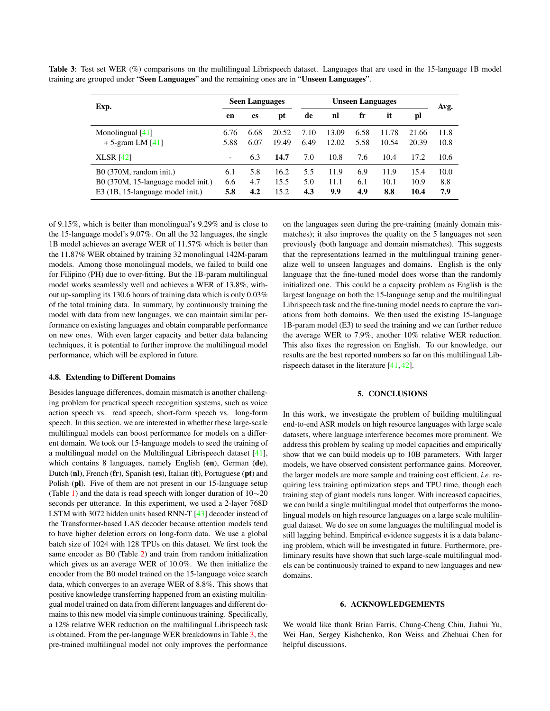<span id="page-5-0"></span>Table 3: Test set WER (%) comparisons on the multilingual Librispeech dataset. Languages that are used in the 15-language 1B model training are grouped under "Seen Languages" and the remaining ones are in "Unseen Languages".

| Exp.                                                                                                      | <b>Seen Languages</b>    |                   | <b>Unseen Languages</b> |                   |                     |                   | Avg.                |                      |                    |
|-----------------------------------------------------------------------------------------------------------|--------------------------|-------------------|-------------------------|-------------------|---------------------|-------------------|---------------------|----------------------|--------------------|
|                                                                                                           | en                       | es                | pt                      | de                | nl                  | fr                | it                  | pl                   |                    |
| Monolingual $[41]$<br>$+5$ -gram LM [41]                                                                  | 6.76<br>5.88             | 6.68<br>6.07      | 20.52<br>19.49          | 7.10<br>6.49      | 13.09<br>12.02      | 6.58<br>5.58      | 11.78<br>10.54      | 21.66<br>20.39       | 11.8<br>10.8       |
| <b>XLSR</b> [42]                                                                                          | $\overline{\phantom{a}}$ | 6.3               | 14.7                    | 7.0               | 10.8                | 7.6               | 10.4                | 17.2                 | 10.6               |
| $B0(370M, \text{random init.})$<br>B0 (370M, 15-language model init.)<br>E3 (1B, 15-language model init.) | 6.1<br>6.6<br>5.8        | 5.8<br>4.7<br>4.2 | 16.2<br>15.5<br>15.2    | 5.5<br>5.0<br>4.3 | 11.9<br>11.1<br>9.9 | 6.9<br>6.1<br>4.9 | 11.9<br>10.1<br>8.8 | 15.4<br>10.9<br>10.4 | 10.0<br>8.8<br>7.9 |

of 9.15%, which is better than monolingual's 9.29% and is close to the 15-language model's 9.07%. On all the 32 languages, the single 1B model achieves an average WER of 11.57% which is better than the 11.87% WER obtained by training 32 monolingual 142M-param models. Among those monolingual models, we failed to build one for Filipino (PH) due to over-fitting. But the 1B-param multilingual model works seamlessly well and achieves a WER of 13.8%, without up-sampling its 130.6 hours of training data which is only 0.03% of the total training data. In summary, by continuously training the model with data from new languages, we can maintain similar performance on existing languages and obtain comparable performance on new ones. With even larger capacity and better data balancing techniques, it is potential to further improve the multilingual model performance, which will be explored in future.

#### 4.8. Extending to Different Domains

Besides language differences, domain mismatch is another challenging problem for practical speech recognition systems, such as voice action speech vs. read speech, short-form speech vs. long-form speech. In this section, we are interested in whether these large-scale multilingual models can boost performance for models on a different domain. We took our 15-language models to seed the training of a multilingual model on the Multilingual Librispeech dataset [\[41\]](#page-7-13), which contains 8 languages, namely English (en), German (de), Dutch (nl), French (fr), Spanish (es), Italian (it), Portuguese (pt) and Polish (pl). Five of them are not present in our 15-language setup (Table [1\)](#page-1-0) and the data is read speech with longer duration of 10∼20 seconds per utterance. In this experiment, we used a 2-layer 768D LSTM with 3072 hidden units based RNN-T [\[43\]](#page-7-15) decoder instead of the Transformer-based LAS decoder because attention models tend to have higher deletion errors on long-form data. We use a global batch size of 1024 with 128 TPUs on this dataset. We first took the same encoder as B0 (Table [2\)](#page-3-1) and train from random initialization which gives us an average WER of 10.0%. We then initialize the encoder from the B0 model trained on the 15-language voice search data, which converges to an average WER of 8.8%. This shows that positive knowledge transferring happened from an existing multilingual model trained on data from different languages and different domains to this new model via simple continuous training. Specifically, a 12% relative WER reduction on the multilingual Librispeech task is obtained. From the per-language WER breakdowns in Table [3,](#page-5-0) the pre-trained multilingual model not only improves the performance

on the languages seen during the pre-training (mainly domain mismatches); it also improves the quality on the 5 languages not seen previously (both language and domain mismatches). This suggests that the representations learned in the multilingual training generalize well to unseen languages and domains. English is the only language that the fine-tuned model does worse than the randomly initialized one. This could be a capacity problem as English is the largest language on both the 15-language setup and the multilingual Librispeech task and the fine-tuning model needs to capture the variations from both domains. We then used the existing 15-language 1B-param model (E3) to seed the training and we can further reduce the average WER to 7.9%, another 10% relative WER reduction. This also fixes the regression on English. To our knowledge, our results are the best reported numbers so far on this multilingual Librispeech dataset in the literature [\[41,](#page-7-13) [42\]](#page-7-14).

# 5. CONCLUSIONS

In this work, we investigate the problem of building multilingual end-to-end ASR models on high resource languages with large scale datasets, where language interference becomes more prominent. We address this problem by scaling up model capacities and empirically show that we can build models up to 10B parameters. With larger models, we have observed consistent performance gains. Moreover, the larger models are more sample and training cost efficient, *i.e.* requiring less training optimization steps and TPU time, though each training step of giant models runs longer. With increased capacities, we can build a single multilingual model that outperforms the monolingual models on high resource languages on a large scale multilingual dataset. We do see on some languages the multilingual model is still lagging behind. Empirical evidence suggests it is a data balancing problem, which will be investigated in future. Furthermore, preliminary results have shown that such large-scale multilingual models can be continuously trained to expand to new languages and new domains.

#### 6. ACKNOWLEDGEMENTS

We would like thank Brian Farris, Chung-Cheng Chiu, Jiahui Yu, Wei Han, Sergey Kishchenko, Ron Weiss and Zhehuai Chen for helpful discussions.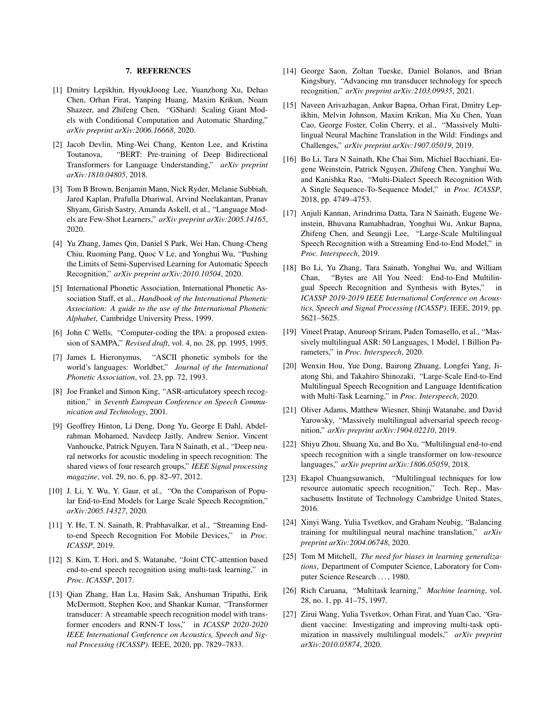#### 7. REFERENCES

- <span id="page-6-0"></span>[1] Dmitry Lepikhin, HyoukJoong Lee, Yuanzhong Xu, Dehao Chen, Orhan Firat, Yanping Huang, Maxim Krikun, Noam Shazeer, and Zhifeng Chen, "GShard: Scaling Giant Models with Conditional Computation and Automatic Sharding," *arXiv preprint arXiv:2006.16668*, 2020.
- [2] Jacob Devlin, Ming-Wei Chang, Kenton Lee, and Kristina Toutanova, "BERT: Pre-training of Deep Bidirectional Transformers for Language Understanding," *arXiv preprint arXiv:1810.04805*, 2018.
- <span id="page-6-1"></span>[3] Tom B Brown, Benjamin Mann, Nick Ryder, Melanie Subbiah, Jared Kaplan, Prafulla Dhariwal, Arvind Neelakantan, Pranav Shyam, Girish Sastry, Amanda Askell, et al., "Language Models are Few-Shot Learners," *arXiv preprint arXiv:2005.14165*, 2020.
- <span id="page-6-2"></span>[4] Yu Zhang, James Qin, Daniel S Park, Wei Han, Chung-Cheng Chiu, Ruoming Pang, Quoc V Le, and Yonghui Wu, "Pushing the Limits of Semi-Supervised Learning for Automatic Speech Recognition," *arXiv preprint arXiv:2010.10504*, 2020.
- <span id="page-6-3"></span>[5] International Phonetic Association, International Phonetic Association Staff, et al., *Handbook of the International Phonetic Association: A guide to the use of the International Phonetic Alphabet*, Cambridge University Press, 1999.
- <span id="page-6-4"></span>[6] John C Wells, "Computer-coding the IPA: a proposed extension of SAMPA," *Revised draft*, vol. 4, no. 28, pp. 1995, 1995.
- <span id="page-6-5"></span>[7] James L Hieronymus, "ASCII phonetic symbols for the world's languages: Worldbet," *Journal of the International Phonetic Association*, vol. 23, pp. 72, 1993.
- <span id="page-6-6"></span>[8] Joe Frankel and Simon King, "ASR-articulatory speech recognition," in *Seventh European Conference on Speech Communication and Technology*, 2001.
- <span id="page-6-7"></span>[9] Geoffrey Hinton, Li Deng, Dong Yu, George E Dahl, Abdelrahman Mohamed, Navdeep Jaitly, Andrew Senior, Vincent Vanhoucke, Patrick Nguyen, Tara N Sainath, et al., "Deep neural networks for acoustic modeling in speech recognition: The shared views of four research groups," *IEEE Signal processing magazine*, vol. 29, no. 6, pp. 82–97, 2012.
- <span id="page-6-8"></span>[10] J. Li, Y. Wu, Y. Gaur, et al., "On the Comparison of Popular End-to-End Models for Large Scale Speech Recognition," *arXiv:2005.14327*, 2020.
- [11] Y. He, T. N. Sainath, R. Prabhavalkar, et al., "Streaming Endto-end Speech Recognition For Mobile Devices," in *Proc. ICASSP*, 2019.
- [12] S. Kim, T. Hori, and S. Watanabe, "Joint CTC-attention based end-to-end speech recognition using multi-task learning," in *Proc. ICASSP*, 2017.
- <span id="page-6-21"></span>[13] Qian Zhang, Han Lu, Hasim Sak, Anshuman Tripathi, Erik McDermott, Stephen Koo, and Shankar Kumar, "Transformer transducer: A streamable speech recognition model with transformer encoders and RNN-T loss," in *ICASSP 2020-2020 IEEE International Conference on Acoustics, Speech and Signal Processing (ICASSP)*. IEEE, 2020, pp. 7829–7833.
- <span id="page-6-9"></span>[14] George Saon, Zoltan Tueske, Daniel Bolanos, and Brian Kingsbury, "Advancing rnn transducer technology for speech recognition," *arXiv preprint arXiv:2103.09935*, 2021.
- <span id="page-6-10"></span>[15] Naveen Arivazhagan, Ankur Bapna, Orhan Firat, Dmitry Lepikhin, Melvin Johnson, Maxim Krikun, Mia Xu Chen, Yuan Cao, George Foster, Colin Cherry, et al., "Massively Multilingual Neural Machine Translation in the Wild: Findings and Challenges," *arXiv preprint arXiv:1907.05019*, 2019.
- <span id="page-6-11"></span>[16] Bo Li, Tara N Sainath, Khe Chai Sim, Michiel Bacchiani, Eugene Weinstein, Patrick Nguyen, Zhifeng Chen, Yanghui Wu, and Kanishka Rao, "Multi-Dialect Speech Recognition With A Single Sequence-To-Sequence Model," in *Proc. ICASSP*, 2018, pp. 4749–4753.
- <span id="page-6-12"></span>[17] Anjuli Kannan, Arindrima Datta, Tara N Sainath, Eugene Weinstein, Bhuvana Ramabhadran, Yonghui Wu, Ankur Bapna, Zhifeng Chen, and Seungji Lee, "Large-Scale Multilingual Speech Recognition with a Streaming End-to-End Model," in *Proc. Interspeech*, 2019.
- <span id="page-6-13"></span>[18] Bo Li, Yu Zhang, Tara Sainath, Yonghui Wu, and William Chan, "Bytes are All You Need: End-to-End Multilingual Speech Recognition and Synthesis with Bytes," in *ICASSP 2019-2019 IEEE International Conference on Acoustics, Speech and Signal Processing (ICASSP)*. IEEE, 2019, pp. 5621–5625.
- <span id="page-6-15"></span>[19] Vineel Pratap, Anuroop Sriram, Paden Tomasello, et al., "Massively multilingual ASR: 50 Languages, 1 Model, 1 Billion Parameters," in *Proc. Interspeech*, 2020.
- [20] Wenxin Hou, Yue Dong, Bairong Zhuang, Longfei Yang, Jiatong Shi, and Takahiro Shinozaki, "Large-Scale End-to-End Multilingual Speech Recognition and Language Identification with Multi-Task Learning," in *Proc. Interspeech*, 2020.
- <span id="page-6-14"></span>[21] Oliver Adams, Matthew Wiesner, Shinji Watanabe, and David Yarowsky, "Massively multilingual adversarial speech recognition," *arXiv preprint arXiv:1904.02210*, 2019.
- [22] Shiyu Zhou, Shuang Xu, and Bo Xu, "Multilingual end-to-end speech recognition with a single transformer on low-resource languages," *arXiv preprint arXiv:1806.05059*, 2018.
- <span id="page-6-16"></span>[23] Ekapol Chuangsuwanich, "Multilingual techniques for low resource automatic speech recognition," Tech. Rep., Massachusetts Institute of Technology Cambridge United States, 2016.
- <span id="page-6-17"></span>[24] Xinyi Wang, Yulia Tsvetkov, and Graham Neubig, "Balancing training for multilingual neural machine translation," *arXiv preprint arXiv:2004.06748*, 2020.
- <span id="page-6-18"></span>[25] Tom M Mitchell, *The need for biases in learning generalizations*, Department of Computer Science, Laboratory for Computer Science Research . . . , 1980.
- <span id="page-6-19"></span>[26] Rich Caruana, "Multitask learning," *Machine learning*, vol. 28, no. 1, pp. 41–75, 1997.
- <span id="page-6-20"></span>[27] Zirui Wang, Yulia Tsvetkov, Orhan Firat, and Yuan Cao, "Gradient vaccine: Investigating and improving multi-task optimization in massively multilingual models," *arXiv preprint arXiv:2010.05874*, 2020.